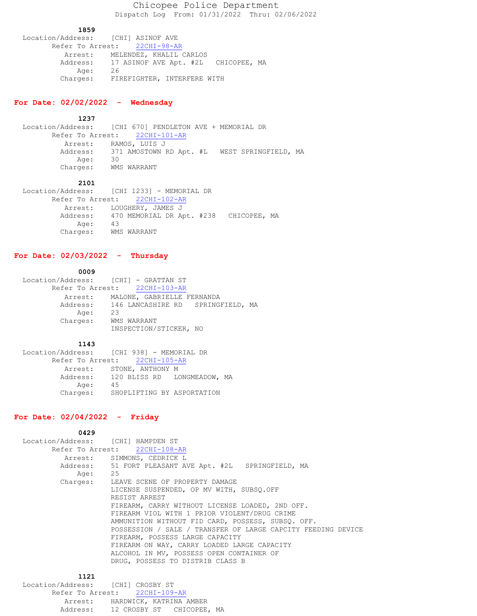Chicopee Police Department Dispatch Log From: 01/31/2022 Thru: 02/06/2022

### **1859**

 Location/Address: [CHI] ASINOF AVE Refer To Arrest: 22CHI-98-AR Arrest: MELENDEZ, KHALIL CARLOS Address: 17 ASINOF AVE Apt. #2L CHICOPEE, MA Age: 26 Charges: FIREFIGHTER, INTERFERE WITH

# **For Date: 02/02/2022 - Wednesday**

#### **1237**

 Location/Address: [CHI 670] PENDLETON AVE + MEMORIAL DR Refer To Arrest: 22CHI-101-AR Arrest: RAMOS, LUIS J Address: 371 AMOSTOWN RD Apt. #L WEST SPRINGFIELD, MA Age: 30 Charges: WMS WARRANT

### **2101**

|                      | Location/Address: [CHI 1233] - MEMORIAL DR      |
|----------------------|-------------------------------------------------|
|                      | Refer To Arrest: 22CHI-102-AR                   |
|                      | Arrest: LOUGHERY, JAMES J                       |
|                      | Address: 470 MEMORIAL DR Apt. #238 CHICOPEE, MA |
| Aqe:                 | 43                                              |
| Charges: WMS WARRANT |                                                 |

# **For Date: 02/03/2022 - Thursday**

### **0009**

| Location/Address: [CHI] - GRATTAN ST |             |                            |                                            |  |
|--------------------------------------|-------------|----------------------------|--------------------------------------------|--|
| Refer To Arrest: 22CHI-103-AR        |             |                            |                                            |  |
| Arrest:                              |             | MALONE, GABRIELLE FERNANDA |                                            |  |
|                                      |             |                            | Address: 146 LANCASHIRE RD SPRINGFIELD, MA |  |
| Age:                                 | 23          |                            |                                            |  |
| Charges:                             | WMS WARRANT |                            |                                            |  |
|                                      |             | INSPECTION/STICKER, NO     |                                            |  |

### **1143**

|          | Location/Address: [CHI 938] - MEMORIAL DR |  |
|----------|-------------------------------------------|--|
|          | Refer To Arrest: 22CHI-105-AR             |  |
|          | Arrest: STONE, ANTHONY M                  |  |
|          | Address: 120 BLISS RD LONGMEADOW, MA      |  |
| Age:     | 45                                        |  |
| Charges: | SHOPLIFTING BY ASPORTATION                |  |

### **For Date: 02/04/2022 - Friday**

| 0429                               |                                                              |  |
|------------------------------------|--------------------------------------------------------------|--|
| Location/Address: [CHI] HAMPDEN ST |                                                              |  |
| Refer To Arrest: 22CHI-108-AR      |                                                              |  |
|                                    | Arrest: SIMMONS, CEDRICK L                                   |  |
|                                    | Address: 51 FORT PLEASANT AVE Apt. #2L SPRINGFIELD, MA       |  |
| Age:                               | 25                                                           |  |
| Charges:                           | LEAVE SCENE OF PROPERTY DAMAGE                               |  |
|                                    | LICENSE SUSPENDED, OP MV WITH, SUBSO.OFF                     |  |
|                                    | RESIST ARREST                                                |  |
|                                    | FIREARM, CARRY WITHOUT LICENSE LOADED, 2ND OFF.              |  |
|                                    | FIREARM VIOL WITH 1 PRIOR VIOLENT/DRUG CRIME                 |  |
|                                    | AMMUNITION WITHOUT FID CARD, POSSESS, SUBSO. OFF.            |  |
|                                    | POSSESSION / SALE / TRANSFER OF LARGE CAPCITY FEEDING DEVICE |  |
|                                    | FIREARM, POSSESS LARGE CAPACITY                              |  |
|                                    | FIREARM ON WAY, CARRY LOADED LARGE CAPACITY                  |  |
|                                    | ALCOHOL IN MV, POSSESS OPEN CONTAINER OF                     |  |
|                                    | DRUG, POSSESS TO DISTRIB CLASS B                             |  |
|                                    |                                                              |  |

# **1121**

| Location/Address: [CHI] CROSBY ST |  |                           |  |
|-----------------------------------|--|---------------------------|--|
| Refer To Arrest: 22CHI-109-AR     |  |                           |  |
| Arrest:                           |  | HARDWICK, KATRINA AMBER   |  |
| Address:                          |  | 12 CROSBY ST CHICOPEE, MA |  |